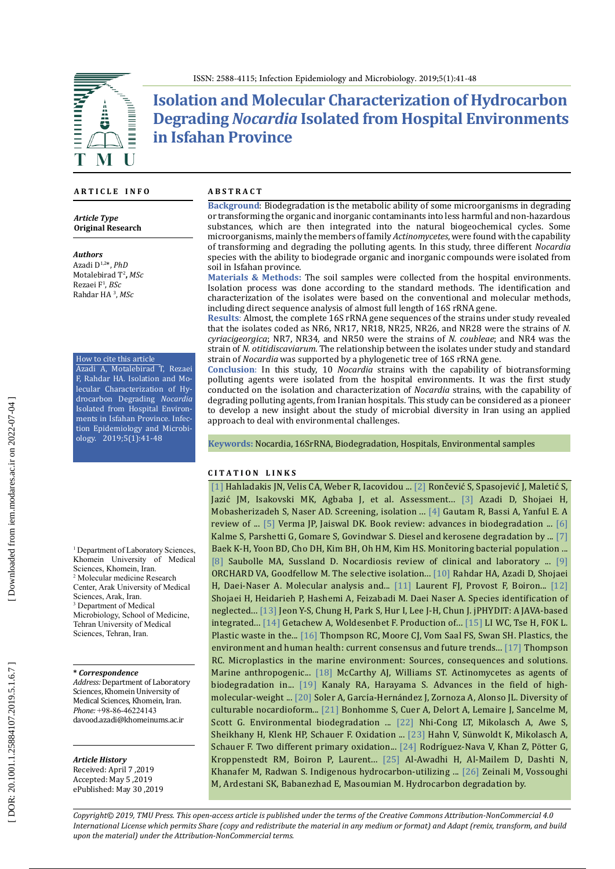

# **Isolation and Molecular Characterization of Hydrocarbon Degrading** *Nocardia* **Isolated from Hospital Environments in Isfahan Province**

#### **A R T I C L E I N F O**

*Article Type* **Original Research**

*Authors*

Azadi D1,2\*, *PhD* Motalebirad T 2 **,** *MSc* Rezaei F 1 , *BSc* Rahdar HA 3 , *MSc*

How to cite this article Azadi A, Motalebirad T, Rezaei F, Rahdar HA. Isolation and Mo lecular Characterization of Hy drocarbon Degrading *Nocardia* Isolated from Hospital Environ ments in Isfahan Province. Infec tion Epidemiology and Microbi ology. 2019;5(1):41-48

<sup>1</sup> Department of Laboratory Sciences, Khomein University of Medical Sciences, Khomein, Iran. 2 Molecular medicine Research Center, Arak University of Medical Sciences, Arak, Iran. <sup>3</sup> Department of Medical Microbiology, School of Medicine, Tehran University of Medical Sciences, Tehran, Iran.

#### **\*** *Correspondence*

*Address:* Department of Laboratory Sciences, Khomein University of Medical Sciences, Khomein, Iran. *Phone:*  +98-86-46224143 davood.azadi@khomeinums.ac.ir

### *Article History*

Received: April 7 ,2019 Accepted: May 5 ,2019 ePublished: May 30 ,2019

#### **A B S T R A C T**

**Background**: Biodegradation is the metabolic ability of some microorganisms in degrading or transforming the organic and inorganic contaminants into less harmful and non -hazardous substances, which are then integrated into the natural biogeochemical cycles. Some microorganisms, mainly the members of family *Actinomycetes*, were found with the capability of transforming and degrading the polluting agents. In this study, three different *Nocardia* species with the ability to biodegrade organic and inorganic compounds were isolated from soil in Isfahan province .

**Materials & Methods:** The soil samples were collected from the hospital environments. Isolation process was done according to the standard methods. The identification and characterization of the isolates were based on the conventional and molecular methods, including direct sequence analysis of almost full length of 16S rRNA gene .

**Results**: Almost, the complete 16S rRNA gene sequences of the strains under study revealed that the isolates coded as NR6, NR17, NR18, NR25, NR26, and NR28 were the strains of *N. cyriacigeorgica*; NR7, NR34, and NR50 were the strains of *N. coubleae*; and NR4 was the strain of *N. otitidiscaviarum*. The relationship between the isolates under study and standard strain of *Nocardia* was supported by a phylogenetic tree of 16S rRNA gene .

**Conclusion** : In this study, 10 *Nocardia* strains with the capability of biotransforming polluting agents were isolated from the hospital environments. It was the first study conducted on the isolation and characterization of *Nocardia* strains, with the capability of degrading polluting agents, from Iranian hospitals. This study can be considered as a pioneer to develop a new insight about the study of microbial diversity in Iran using an applied approach to deal with environmental challenges .

**Keywords:** Nocardia, 16SrRNA, Biodegradation, Hospitals, Environmental samples

#### **C I T A T I O N L I N K S**

[\[1\]](https://www.ncbi.nlm.nih.gov/pubmed/29035713) Hahladakis JN, Velis CA, Weber R, Iacovidou ... [\[2\]](https://www.ncbi.nlm.nih.gov/pubmed/26490893) Rončević S, Spasojević J, Maletić S, Jazić JM, Isakovski MK, Agbaba J, et al. Assessment... [\[3\]](https://www.ncbi.nlm.nih.gov/pubmed/28933031) Azadi D, Shojaei H, Mobasherizadeh S, Naser AD. Screening, isolation ...  $[4]$  Gautam R, Bassi A, Yanful E. A review of ... [\[5\]](https://www.frontiersin.org/articles/10.3389/fmicb.2015.01555/full) Verma JP, Jaiswal DK. Book review: advances in biodegradation ... [\[6\]](https://www.ncbi.nlm.nih.gov/pubmed/18330635) Kalme S, Parshetti G, Gomare S, Govindwar S. Diesel and kerosene degradation by ... [\[7\]](https://www.ncbi.nlm.nih.gov/pubmed/19420987) Baek K-H, Yoon BD, Cho DH, Kim BH, Oh HM, Kim HS. Monitoring bacterial population ...  $[8]$  Saubolle MA, Sussland D. Nocardiosis review of clinical and laboratory ...  $[9]$ ORCHARD VA, Goodfellow M. The selective isolation... [\[10\]](https://www.ncbi.nlm.nih.gov/pubmed/28100300) Rahdar HA, Azadi D, Shojaei H, Daei -Naser A. Molecular analysis and... [\[11\]](https://www.ncbi.nlm.nih.gov/pubmed/9854071) Laurent FJ, Provost F, Boiron... [\[12\]](https://www.ncbi.nlm.nih.gov/pubmed/21788699) Shojaei H, Heidarieh P, Hashemi A, Feizabadi M. Daei Naser A. Species identification of neglected... [\[13\]](https://www.ncbi.nlm.nih.gov/pubmed/15855247) Jeon Y-S, Chung H, Park S, Hur I, Lee J-H, Chun J. jPHYDIT: A JAVA-based  $\frac{1}{10}$  integrated... [\[14\]](https://www.ncbi.nlm.nih.gov/pubmed/27955705) Getachew A, Woldesenbet F. Production of... [\[15\]](https://www.ncbi.nlm.nih.gov/pubmed/27232963) LI WC, Tse H, FOK L. Plastic waste in the... [\[16\]](https://www.ncbi.nlm.nih.gov/pmc/articles/PMC2873021/) Thompson RC, Moore CJ, Vom Saal FS, Swan SH. Plastics, the environment and human health: current consensus and future trends... [\[17\]](https://link.springer.com/chapter/10.1007/978-3-319-16510-3_7) Thompson RC. Microplastics in the marine environment: Sources, consequences and solutions. Marine anthropogenic... [\[18\]](https://www.ncbi.nlm.nih.gov/pubmed/1612435) McCarthy AJ, Williams ST. Actinomycetes as agents of biodegradation in... [\[19\]](https://www.ncbi.nlm.nih.gov/pubmed/21255317) Kanaly RA, Harayama S. Advances in the field of high - molecular-weight ... [\[20\]](https://www.ncbi.nlm.nih.gov/pubmed/28264640) Soler A, García-Hernández J, Zornoza A, Alonso JL. Diversity of culturable nocardioform... [\[21\]](https://www.sciencedirect.com/science/article/pii/S0141391003001290) Bonhomme S, Cuer A, Delort A, Lemaire J, Sancelme M, Scott G. Environmental biodegradation ... [\[22\]](https://www.ncbi.nlm.nih.gov/pubmed/20143352) Nhi-Cong LT, Mikolasch A, Awe S, Sheikhany H, Klenk HP, Schauer F. Oxidation ... [\[23\]](https://www.ncbi.nlm.nih.gov/pubmed/22828982) Hahn V, Sünwoldt K, Mikolasch A, Schauer F. Two different primary oxidation... [\[24\]](https://ijs.microbiologyresearch.org/content/journal/ijsem/10.1099/ijs.0.64815-0?crawler=true) Rodriguez-Nava V, Khan Z, Pötter G, Kroppenstedt RM, Boiron P, Laurent... [\[25\]](https://www.ncbi.nlm.nih.gov/pubmed/22398928) Al-Awadhi H, Al-Mailem D, Dashti N, Khanafer M, Radwan S. Indigenous hydrocarbon-utilizing ... [\[26\]](https://www.ncbi.nlm.nih.gov/pubmed/18072240) Zeinali M, Vossoughi M, Ardestani SK, Babanezhad E, Masoumian M. Hydrocarbon degradation by.

*Copyright© 2019, TMU Press. This open-access article is published under the terms of the Creative Commons Attribution-NonCommercial 4.0 International License which permits Share (copy and redistribute the material in any medium or format) and Adapt (remix, transform, and build upon the material) under the Attribution-NonCommercial terms.*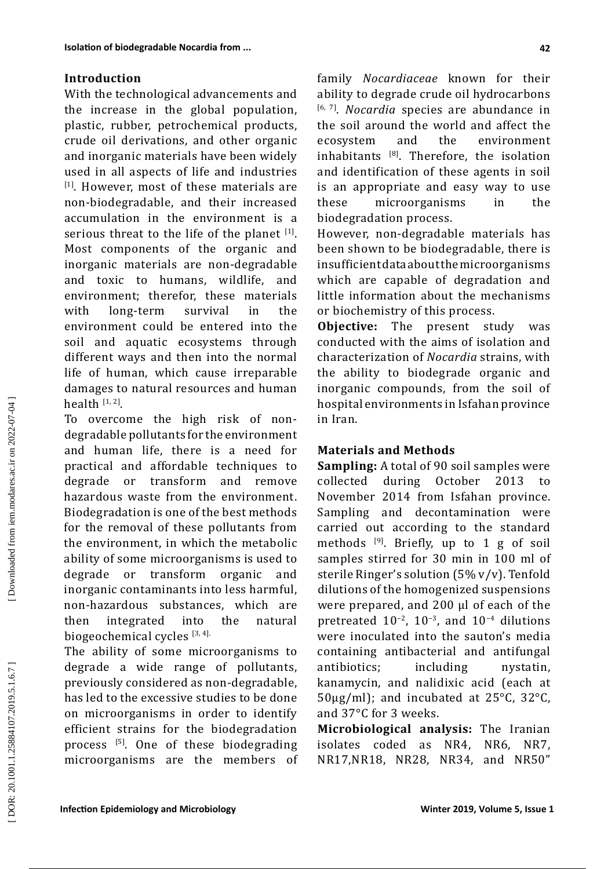### **Introduction**

With the technological advancements and the increase in the global population, plastic, rubber, petrochemical products, crude oil derivations, and other organic and inorganic materials have been widely used in all aspects of life and industries  $[11]$ . However, most of these materials are non -biodegradable, and their increased accumulation in the environment is a serious threat to the life of the planet  $[1]$ . Most components of the organic and inorganic materials are non -degradable and toxic to humans, wildlife, and environment; therefor, these materials<br>with long-term survival in the long-term survival environment could be entered into the soil and aquatic ecosystems through different ways and then into the normal life of human, which cause irreparable damages to natural resources and human health  $[1, 2]$ .

To overcome the high risk of non degradable pollutants for the environment and human life, there is a need for practical and affordable techniques to<br>degrade or transform and remove degrade or transform hazardous waste from the environment. Biodegradation is one of the best methods for the removal of these pollutants from the environment, in which the metabolic ability of some microorganisms is used to<br>degrade or transform organic and or transform organic and inorganic contaminants into less harmful, non -hazardous substances, which are then integrated into the natural biogeochemical cycles  $[3, 4]$ .

The ability of some microorganisms to degrade a wide range of pollutants, previously considered as non -degradable, has led to the excessive studies to be done on microorganisms in order to identify efficient strains for the biodegradation process [ 5 ] . One of these biodegrading microorganisms are the members of

family *Nocardiaceae* known for their ability to degrade crude oil hydrocarbons [6, 7] . *Nocardia* species are abundance in the soil around the world and affect the<br>ecosystem and the environment environment inhabitants  $^{[8]}$ . Therefore, the isolation and identification of these agents in soil is an appropriate and easy way to use<br>these microorganisms in the these microorganisms in the biodegradation process .

However, non -degradable materials has been shown to be biodegradable, there is insufficientdataaboutthemicroorganisms which are capable of degradation and little information about the mechanisms or biochemistry of this process.

**Objective :** The present study was conducted with the aims of isolation and characterization of *Nocardia* strains, with the ability to biodegrade organic and inorganic compounds, from the soil of hospital environments in Isfahan province in Iran .

#### **Materials and Methods**

**Sampling:**  A total of 90 soil samples were collected during October 2013 to November 2014 from Isfahan province. Sampling and decontamination were carried out according to the standard methods <sup>[9]</sup>. Briefly, up to 1 g of soil samples stirred for 30 min in 100 ml of sterile Ringer's solution (5% v/v). Tenfold dilutions of the homogenized suspensions were prepared, and 200 μl of each of the pretreated  $10^{-2}$ ,  $10^{-3}$ , and  $10^{-4}$  dilutions were inoculated into the sauton's media containing antibacterial and antifungal antibiotics; including nystatin, kanamycin, and nalidixic acid (each at 50µg /ml); and incubated at 25 ° C, 32 ° C, and 37 ° C for 3 weeks .

**Microbiological analysis:** The Iranian isolates coded as NR4, NR6, NR7, NR17 ,NR18, NR28, NR34, and NR50"

DOR: 20.1001.1.25884107.2019.5.1.6.7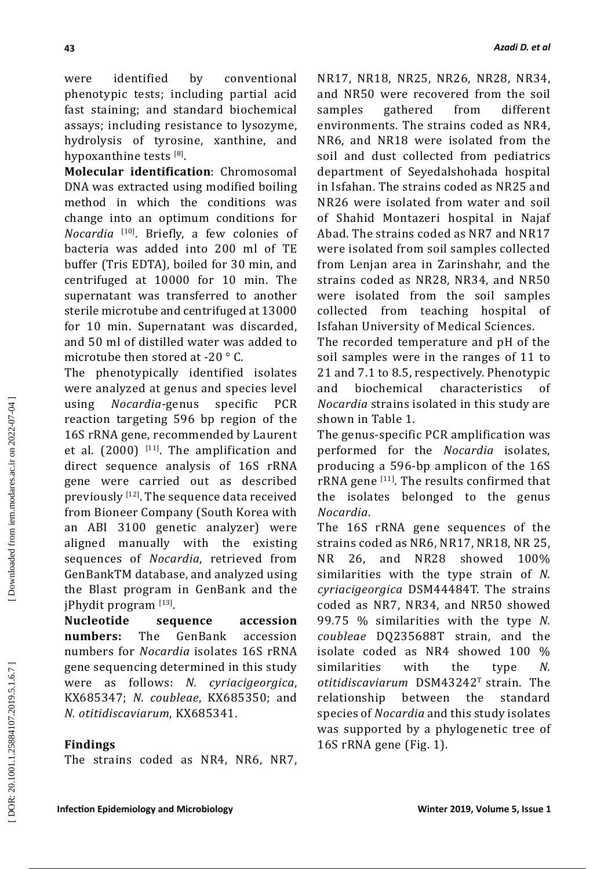were identified by conventional phenotypic tests; including partial acid fast staining; and standard biochemical assays; including resistance to lysozyme, hydrolysis of tyrosine, xanthine, and hypoxanthine tests  $^{[8]}$ .

**Molecular identification**: Chromosomal DNA was extracted using modified boiling method in which the conditions was change into an optimum conditions for *Nocardia* [10 ] . Briefly, a few colonies of bacteria was added into 200 ml of TE buffer (Tris EDTA), boiled for 30 min, and centrifuged at 10000 for 10 min. The supernatant was transferred to another sterile microtube and centrifuged at 13000 for 10 min. Supernatant was discarded, and 50 ml of distilled water was added to microtube then stored at -20  $^{\circ}$  C.

The phenotypically identified isolates were analyzed at genus and species level<br>using Nocardia-genus specific PCR using *Nocardia* -genus specific PCR reaction targeting 596 bp region of the 16S rRNA gene, recommended by Laurent et al.  $(2000)^{\lfloor 11 \rfloor}$ . The amplification and direct sequence analysis of 16S rRNA gene were carried out as described previously  $^{\left[ 12\right] }$ . The sequence data received from Bioneer Company (South Korea with an ABI 3100 genetic analyzer) were aligned manually with the existing sequences of *Nocardia*, retrieved from GenBankTM database, and analyzed using the Blast program in GenBank and the jPhydit program [13 ] .

**Nucleotide sequence accession numbers:** The GenBank accession numbers for *Nocardia* isolates 16S rRNA gene sequencing determined in this study were as follows: *N. cyriacigeorgica*, KX685347; *N. coubleae*, KX685350; and *N. otitidiscaviarum*, KX685341 .

# **Findings**

The strains coded as NR4, NR6, NR7,

NR17, NR18, NR25, NR26, NR28, NR34, and NR50 were recovered from the soil<br>samples gathered from different samples gathered from environments. The strains coded as NR4, NR6, and NR18 were isolated from the soil and dust collected from pediatrics department of Seyedalshohada hospital in Isfahan. The strains coded as NR25 and NR26 were isolated from water and soil of Shahid Montazeri hospital in Najaf Abad. The strains coded as NR7 and NR17 were isolated from soil samples collected from Lenjan area in Zarinshahr, and the strains coded as NR28, NR34, and NR50 were isolated from the soil samples collected from teaching hospital of Isfahan University of Medical Sciences .

The recorded temperature and pH of the soil samples were in the ranges of 11 to 21 and 7.1 to 8.5, respectively. Phenotypic<br>and biochemical characteristics of characteristics *Nocardia* strains isolated in this study are shown in Table 1 .

The genus -specific PCR amplification was performed for the *Nocardia* isolates, producing a 596 -bp amplicon of the 16S  $\mathsf{rRNA}$  gene  $^{[11]}$ . The results confirmed that the isolates belonged to the genus *Nocardia* .

The 16S rRNA gene sequences of the strains coded as NR6, NR17, NR18, NR 25, NR 26, and NR28 showed 100% similarities with the type strain of *N. cyriacigeorgica* DSM44484T. The strains coded as NR7, NR34, and NR50 showed 99.75 % similarities with the type *N. coubleae* DQ235688T strain, and the isolate coded as NR4 showed 100 % similarities with the type *N. otitidiscaviarum* DSM43242 <sup>T</sup> strain. The relationship between the standard species of *Nocardia* and this study isolates was supported by a phylogenetic tree of 16S rRNA gene (Fig. 1).

Downloaded from iem.modares.ac.ir on 2022-07-04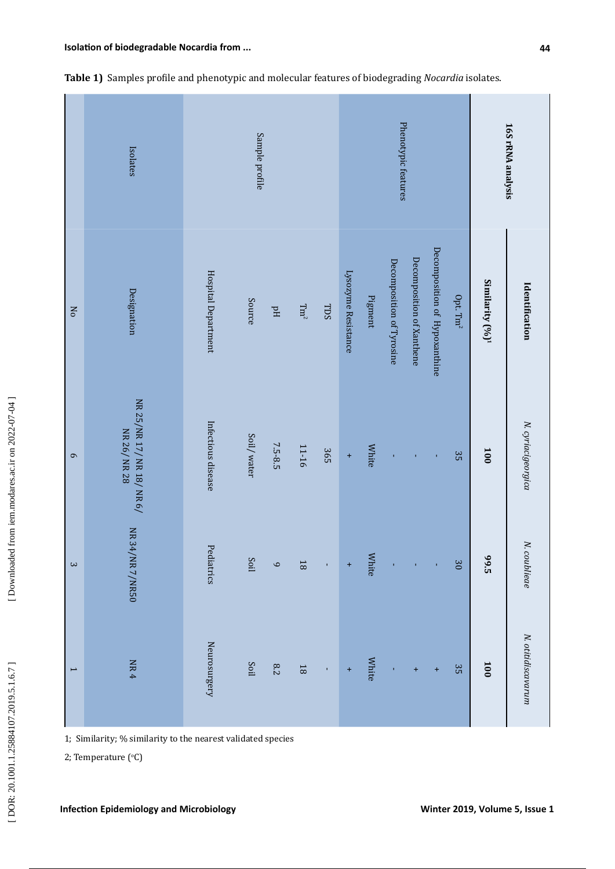J.

|                | Isolates                                | Sample profile      |               |            |                    | Phenotypic features |                     |              |                           |                           | 16SrRNA analysis              |                  |                             |                    |
|----------------|-----------------------------------------|---------------------|---------------|------------|--------------------|---------------------|---------------------|--------------|---------------------------|---------------------------|-------------------------------|------------------|-----------------------------|--------------------|
| No             | Designation                             | Hospital Department | <b>Source</b> | $\rm Hd$   | $\rm{T}m^2$        | TDS                 | Lysozyme Resistance | Pigment      | Decomposition of Tyrosine | Decomposition of Xanthene | Decomposition of Hypoxanthine | Opt. $\rm{Tm}^2$ | Similarity (%) <sup>1</sup> | Identification     |
| $\sigma$       | NR 25/NR 17/NR 18/NR 6/<br>NR 26/ NR 28 | Infectious disease  | Soil/water    | 7.5-8.5    | 11-16              | 365                 | $\ddot{}$           | White        | $\mathbf{r}$              | ï                         | $\mathbf{r}$                  | 35               | 100                         | N. cyriacigeorgica |
| $\sim$         | NR 34/NR 7/NR50                         | Pediatrics          | Soil          | $\circ$    | $\overline{\bf 8}$ | î,                  | $\ddot{}$           | <b>White</b> | Î,                        | í,                        | Î,                            | 30               | 99.5                        | N. coublieae       |
| $\overline{ }$ | $\rm{NR}$ 4                             | Neurosurgery        | Soil          | $\sqrt{8}$ | $\overline{\rm B}$ | $\mathbf{r}$        | $\ddot{}$           | <b>White</b> |                           | $\ddot{}$                 | $\ddot{}$                     | 35               | 100                         | N. otitidiscavarum |

|  |  |  |  |  |  |  | Table 1) Samples profile and phenotypic and molecular features of biodegrading Nocardia isolates. |  |
|--|--|--|--|--|--|--|---------------------------------------------------------------------------------------------------|--|
|--|--|--|--|--|--|--|---------------------------------------------------------------------------------------------------|--|

1; Similarity; % similarity to the nearest validated species

2; Temperature (°C)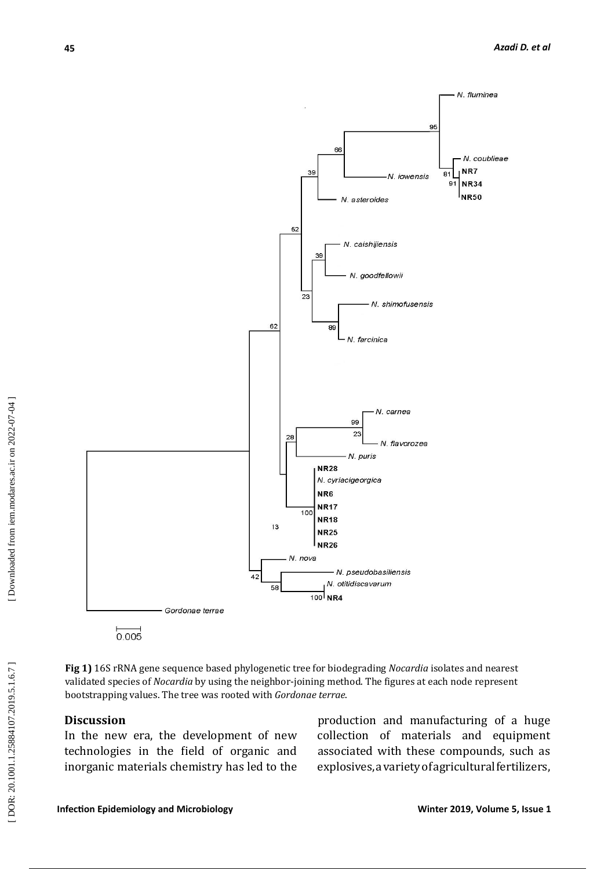

Fig 1) 16S rRNA gene sequence based phylogenetic tree for biodegrading *Nocardia* isolates and nearest bootstrapping values. The tree was rooted with *Gordonae terrae*. validated species of *Nocardia* by using the neighbor -joining method. The figures at each node represent

# **Discussion**

In the new era, the development of new technologies in the field of organic and inorganic materials chemistry has led to the

production and manufacturing of a huge the new era, the development of new collection of materials and equipment associated with these compounds , such as explosives, avarietyofagriculturalfertilizers,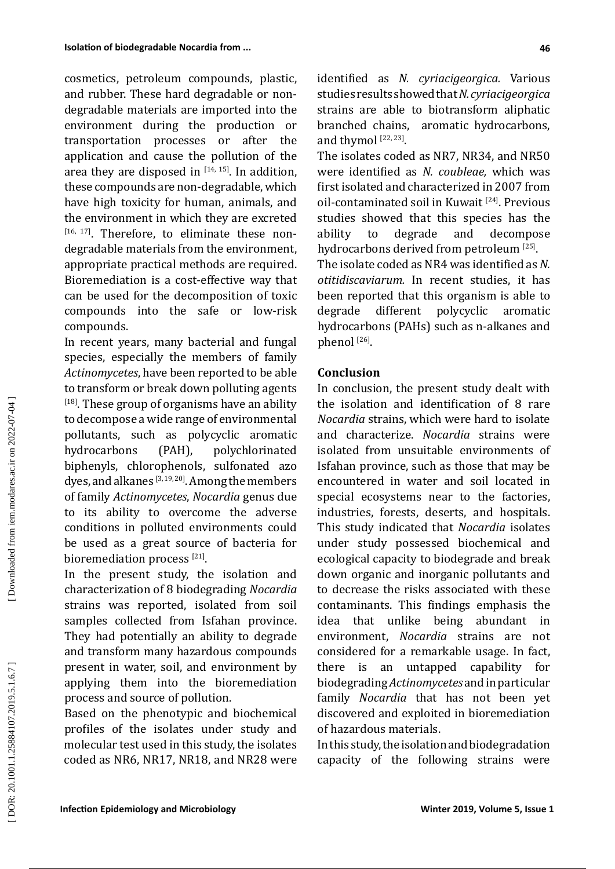cosmetics, petroleum compounds, plastic, and rubber. These hard degradable or non degradable materials are imported into the environment during the production or transportation processes or after the application and cause the pollution of the area they are disposed in  $114, 155$ . In addition, these compounds are non -degradable, which have high toxicity for human, animals, and the environment in which they are excreted  $[16, 17]$ . Therefore, to eliminate these nondegradable materials from the environment, appropriate practical methods are required. Bioremediation is a cost -effective way that can be used for the decomposition of toxic compounds into the safe or low -risk compounds .

In recent years, many bacterial and fungal species, especially the members of family *Actinomycetes*, have been reported to be able to transform or break down polluting agents <sup>[18]</sup>. These group of organisms have an ability to decompose a wide range of environmental pollutants, such as polycyclic aromatic<br>hydrocarbons (PAH), polychlorinated polychlorinated biphenyls, chlorophenols, sulfonated azo dyes, and alkanes  $^{[3,19,20]}$ . Among the members of family *Actinomycetes*, *Nocardia* genus due to its ability to overcome the adverse conditions in polluted environments could be used as a great source of bacteria for bioremediation process  $[21]$ .

In the present study, the isolation and characterization of 8 biodegrading *Nocardia* strains was reported, isolated from soil samples collected from Isfahan province. They had potentially an ability to degrade and transform many hazardous compounds present in water, soil, and environment by applying them into the bioremediation process and source of pollution .

Based on the phenotypic and biochemical profiles of the isolates under study and molecular test used in this study, the isolates coded as NR6, NR17, NR18, and NR28 were identified as *N. cyriacigeorgica.* Various studiesresultsshowedthat *N. cyriacigeorgica* strains are able to biotransform aliphatic branched chains, aromatic hydrocarbons, and thymol  $^{[22, 23]}$ .

The isolates coded as NR7, NR34, and NR50 were identified as *N. coubleae,* which was first isolated and characterized in 2007 from oil-contaminated soil in Kuwait <sup>[24]</sup>. Previous studies showed that this species has the<br>ability to degrade and decompose decompose hydrocarbons derived from petroleum [25].

The isolate coded as NR4 was identified as *N. otitidiscaviarum.* In recent studies, it has been reported that this organism is able to<br>degrade different polycyclic aromatic polycyclic hydrocarbons (PAHs) such as n -alkanes and  $[26]$ 

#### **Conclusion**

In conclusion, the present study dealt with the isolation and identification of 8 rare *Nocardia* strains, which were hard to isolate and characterize. *Nocardia* strains were isolated from unsuitable environments of Isfahan province, such as those that may be encountered in water and soil located in special ecosystems near to the factories, industries, forests, deserts, and hospitals. This study indicated that *Nocardia* isolates under study possessed biochemical and ecological capacity to biodegrade and break down organic and inorganic pollutants and to decrease the risks associated with these contaminants. This findings emphasis the idea that unlike being abundant in environment, *Nocardia* strains are not considered for a remarkable usage. In fact, there is an untapped capability for biodegrading*Actinomycetes*andinparticular family *Nocardia* that has not been yet discovered and exploited in bioremediation of hazardous materials .

Inthisstudy, theisolationandbiodegradation capacity of the following strains were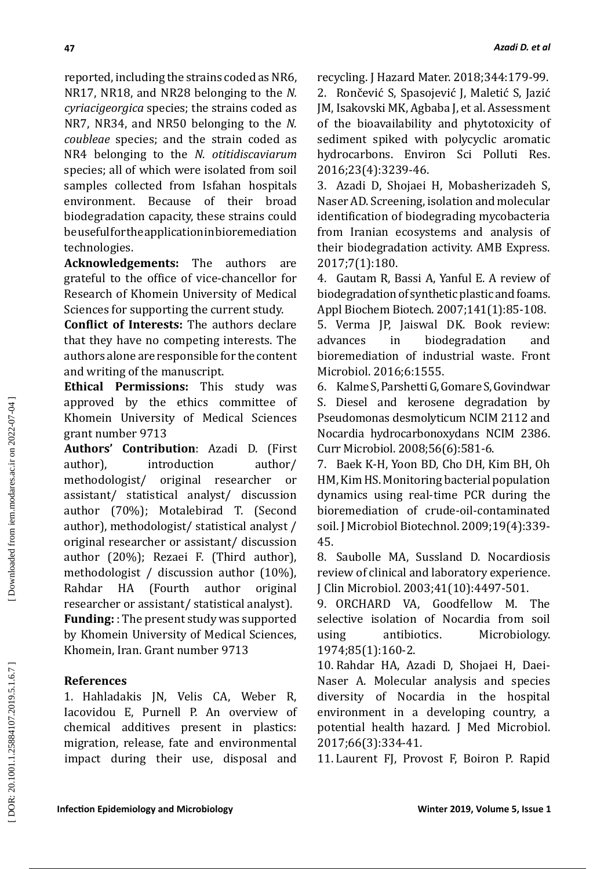reported, including the strains coded as NR6, NR17, NR18, and NR28 belonging to the *N. cyriacigeorgica* species ; the strains coded as NR7, NR34, and NR50 belonging to the *N. coubleae* species; and the strain coded as NR4 belonging to the *N. otitidiscaviarum* species; all of which were isolated from soil samples collected from Isfahan hospitals environment. Because of their broad biodegradation capacity, these strains could beusefulfortheapplicationinbioremediation technologies .

**Acknowledgements:** The authors are grateful to the office of vice -chancellor for Research of Khomein University of Medical Sciences for supporting the current study.

**Conflict of Interests:** The authors declare that they have no competing interests. The authors alone are responsible for the content and writing of the manuscript.

**Ethical Permissions:** This study was approved by the ethics committee of Khomein University of Medical Sciences grant number 9713

**Authors' Contribution**: Azadi D. (First author), introduction author/ methodologist/ original researcher or assistant/ statistical analyst/ discussion author (70%); Motalebirad T. (Second author), methodologist/ statistical analyst / original researcher or assistant/ discussion author (20%); Rezaei F. (Third author), methodologist / discussion author (10%), Rahdar HA (Fourth author original researcher or assistant/ statistical analyst).

**Funding:** : The present study was supported by Khomein University of Medical Sciences, Khomein, Iran. Grant number 9713

## **References**

1. Hahladakis JN, Velis CA, Weber R, Iacovidou E, Purnell P. An overview of chemical additives present in plastics: migration, release, fate and environmental impact during their use, disposal and

recycling. J Hazard Mater. 2018;344:179-99 . 2. Rončević S, Spasojević J, Maletić S, Jazić JM, Isakovski MK, Agbaba J, et al. Assessment of the bioavailability and phytotoxicity of sediment spiked with polycyclic aromatic hydrocarbons. Environ Sci Polluti Res. 2016;23(4):3239-46 .

3. Azadi D, Shojaei H, Mobasherizadeh S, Naser AD. Screening, isolation and molecular identification of biodegrading mycobacteria from Iranian ecosystems and analysis of their biodegradation activity. AMB Express. 2017;7(1):180 .

4. Gautam R, Bassi A, Yanful E. A review of biodegradation of synthetic plastic and foams. Appl Biochem Biotech. 2007;141(1):85-108 .

5. Verma JP, Jaiswal DK. Book review: advances in biodegradation and bioremediation of industrial waste. Front Microbiol. 2016;6:1555 .

6. Kalme S, Parshetti G, Gomare S, Govindwar S. Diesel and kerosene degradation by Pseudomonas desmolyticum NCIM 2112 and Nocardia hydrocarbonoxydans NCIM 2386. Curr Microbiol. 2008;56(6):581-6 .

7. Baek K - H, Yoon BD, Cho DH, Kim BH, Oh HM, Kim HS. Monitoring bacterial population dynamics using real -time PCR during the bioremediation of crude -oil -contaminated soil. J Microbiol Biotechnol. 2009;19(4):339- 45 .

8. Saubolle MA, Sussland D. Nocardiosis review of clinical and laboratory experience. J Clin Microbiol. 2003;41(10):4497-501.

9. ORCHARD VA, Goodfellow M. The selective isolation of Nocardia from soil using antibiotics. Microbiology. 1974;85(1):160-2 .

10. Rahdar HA, Azadi D, Shojaei H, Daei - Naser A. Molecular analysis and species diversity of Nocardia in the hospital environment in a developing country, a potential health hazard. J Med Microbiol. 2017;66(3):334-41 .

11. Laurent FJ, Provost F, Boiron P. Rapid